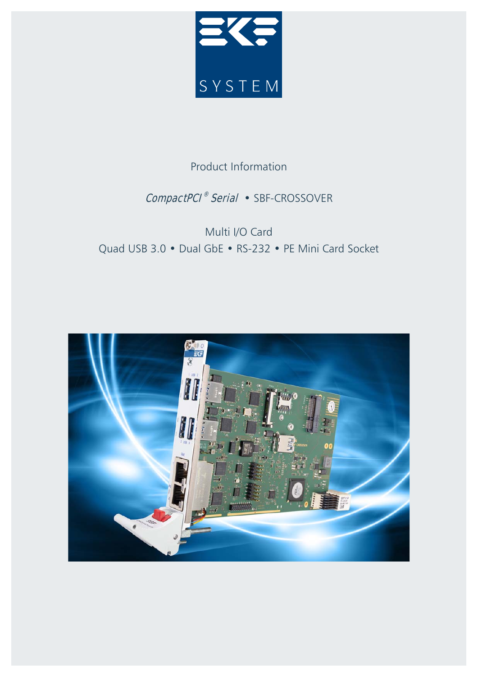

# Product Information

# CompactPCI<sup>®</sup> Serial • SBF-CROSSOVER

# Multi I/O Card Quad USB 3.0 • Dual GbE • RS-232 • PE Mini Card Socket

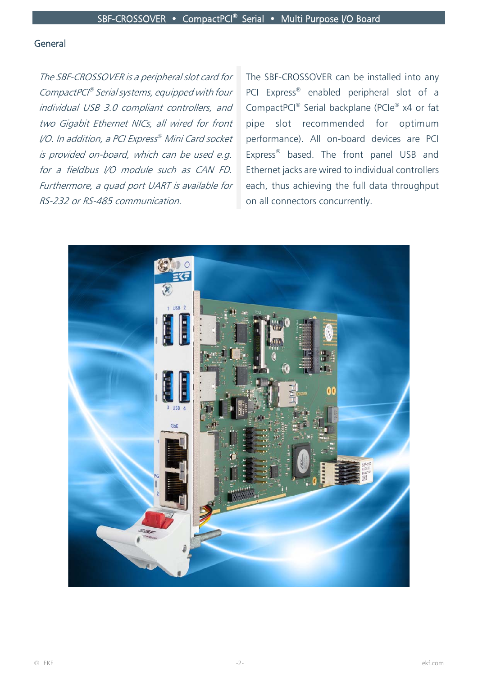#### General

The SBF-CROSSOVER is a peripheral slot card for CompactPCI® Serial systems, equipped with four individual USB 3.0 compliant controllers, and two Gigabit Ethernet NICs, all wired for front I/O. In addition, a PCI Express® Mini Card socket is provided on-board, which can be used e.g. for a fieldbus I/O module such as CAN FD. Furthermore, a quad port UART is available for RS-232 or RS-485 communication.

The SBF-CROSSOVER can be installed into any PCI Express<sup>®</sup> enabled peripheral slot of a CompactPCI® Serial backplane (PCIe® x4 or fat pipe slot recommended for optimum performance). All on-board devices are PCI Express® based. The front panel USB and Ethernet jacks are wired to individual controllers each, thus achieving the full data throughput on all connectors concurrently.

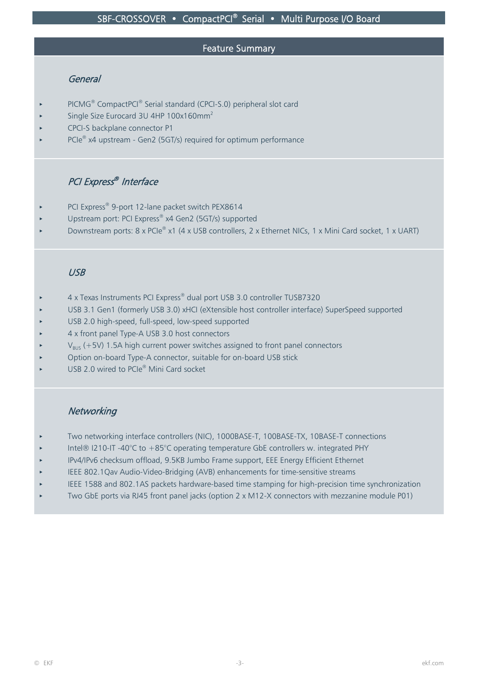#### Feature Summary

## General

- PICMG<sup>®</sup> CompactPCI<sup>®</sup> Serial standard (CPCI-S.0) peripheral slot card
- Single Size Eurocard 3U 4HP 100x160mm<sup>2</sup>
- CPCI-S backplane connector P1
- PCIe® x4 upstream Gen2 (5GT/s) required for optimum performance

# PCI Express® Interface

- PCI Express® 9-port 12-lane packet switch PEX8614
- Upstream port: PCI Express® x4 Gen2 (5GT/s) supported
- Downstream ports: 8 x PCIe® x1 (4 x USB controllers, 2 x Ethernet NICs, 1 x Mini Card socket, 1 x UART)

# USB

- 4 x Texas Instruments PCI Express® dual port USB 3.0 controller TUSB7320
- < USB 3.1 Gen1 (formerly USB 3.0) xHCI (eXtensible host controller interface) SuperSpeed supported
- < USB 2.0 high-speed, full-speed, low-speed supported
- < 4 x front panel Type-A USB 3.0 host connectors
- $V_{BUS}$  (+5V) 1.5A high current power switches assigned to front panel connectors
- < Option on-board Type-A connector, suitable for on-board USB stick
- USB 2.0 wired to PCIe<sup>®</sup> Mini Card socket

# **Networking**

- Two networking interface controllers (NIC), 1000BASE-T, 100BASE-TX, 10BASE-T connections
- < Intel® I210-IT -40°C to +85°C operating temperature GbE controllers w. integrated PHY
- < IPv4/IPv6 checksum offload, 9.5KB Jumbo Frame support, EEE Energy Efficient Ethernet
- < IEEE 802.1Qav Audio-Video-Bridging (AVB) enhancements for time-sensitive streams
- < IEEE 1588 and 802.1AS packets hardware-based time stamping for high-precision time synchronization
- Two GbE ports via RJ45 front panel jacks (option 2 x M12-X connectors with mezzanine module P01)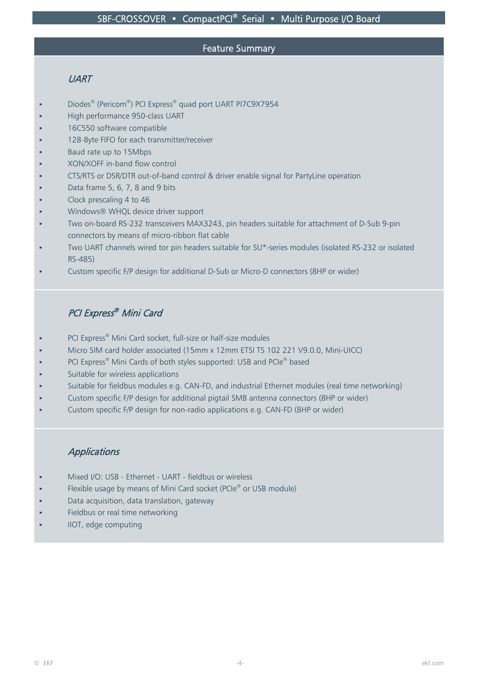#### Feature Summary

# **UART**

- < Diodes® (Pericom®) PCI Express® quad port UART PI7C9X7954
- < High performance 950-class UART
- < 16C550 software compatible
- < 128-Byte FIFO for each transmitter/receiver
- < Baud rate up to 15Mbps
- < XON/XOFF in-band flow control
- < CTS/RTS or DSR/DTR out-of-band control & driver enable signal for PartyLine operation
- < Data frame 5, 6, 7, 8 and 9 bits
- Clock prescaling 4 to 46
- Windows® WHQL device driver support
- < Two on-board RS-232 transceivers MAX3243, pin headers suitable for attachment of D-Sub 9-pin connectors by means of micro-ribbon flat cable
- Two UART channels wired tor pin headers suitable for SU\*-series modules (isolated RS-232 or isolated RS-485)
- < Custom specific F/P design for additional D-Sub or Micro-D connectors (8HP or wider)

# PCI Express® Mini Card

- PCI Express<sup>®</sup> Mini Card socket, full-size or half-size modules
- < Micro SIM card holder associated (15mm x 12mm ETSI TS 102 221 V9.0.0, Mini-UICC)
- PCI Express<sup>®</sup> Mini Cards of both styles supported: USB and PCIe<sup>®</sup> based
- Suitable for wireless applications
- Suitable for fieldbus modules e.g. CAN-FD, and industrial Ethernet modules (real time networking)
- < Custom specific F/P design for additional pigtail SMB antenna connectors (8HP or wider)
- < Custom specific F/P design for non-radio applications e.g. CAN-FD (8HP or wider)

# **Applications**

- < Mixed I/O: USB Ethernet UART fieldbus or wireless
- Flexible usage by means of Mini Card socket (PCIe® or USB module)
- < Data acquisition, data translation, gateway
- < Fieldbus or real time networking
- < IIOT, edge computing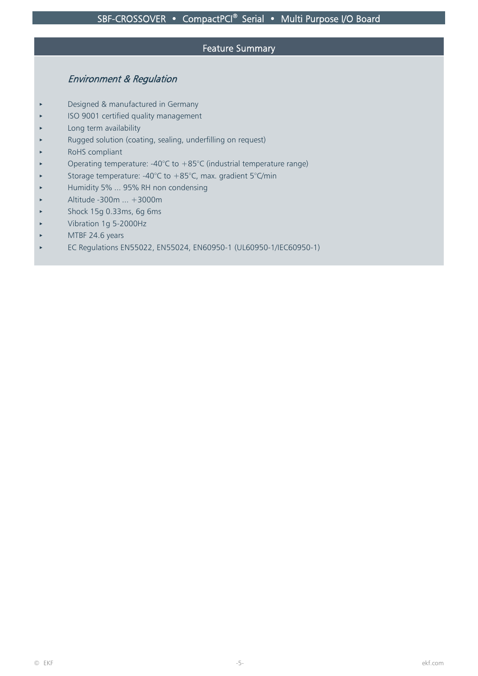#### Feature Summary

# Environment & Regulation

- Designed & manufactured in Germany
- < ISO 9001 certified quality management
- Long term availability
- < Rugged solution (coating, sealing, underfilling on request)
- RoHS compliant
- Operating temperature: -40 $\degree$ C to +85 $\degree$ C (industrial temperature range)
- Storage temperature: -40°C to +85°C, max. gradient 5°C/min
- < Humidity 5% ... 95% RH non condensing
- < Altitude -300m ... +3000m
- < Shock 15g 0.33ms, 6g 6ms
- < Vibration 1g 5-2000Hz
- MTBF 24.6 years
- < EC Regulations EN55022, EN55024, EN60950-1 (UL60950-1/IEC60950-1)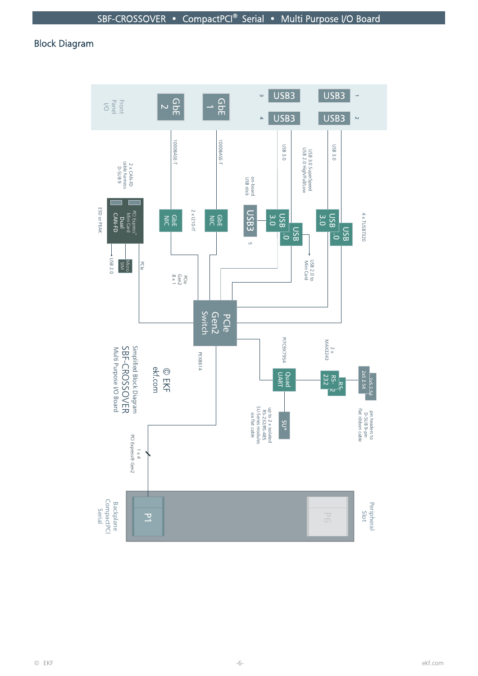# Block Diagram

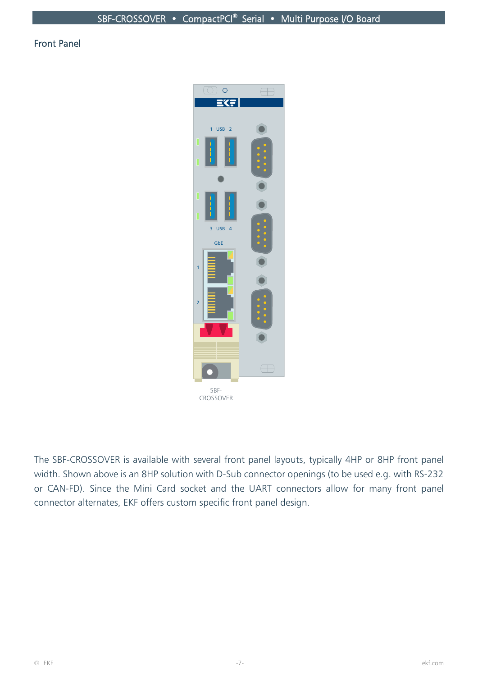## Front Panel



The SBF-CROSSOVER is available with several front panel layouts, typically 4HP or 8HP front panel width. Shown above is an 8HP solution with D-Sub connector openings (to be used e.g. with RS-232 or CAN-FD). Since the Mini Card socket and the UART connectors allow for many front panel connector alternates, EKF offers custom specific front panel design.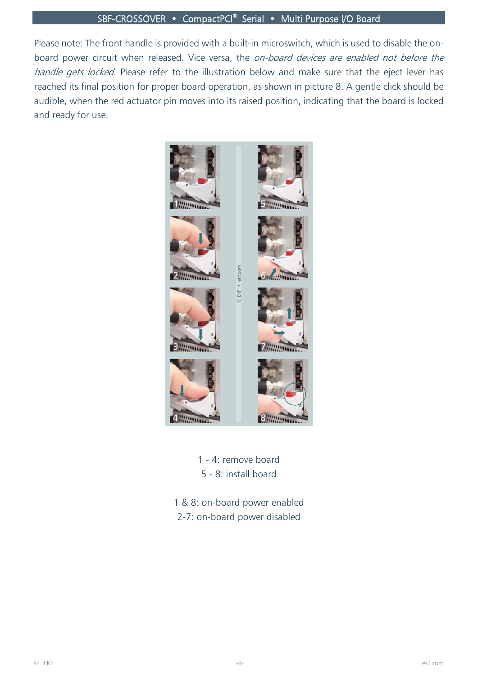## SBF-CROSSOVER • CompactPCI® Serial • Multi Purpose I/O Board

Please note: The front handle is provided with a built-in microswitch, which is used to disable the onboard power circuit when released. Vice versa, the on-board devices are enabled not before the handle gets locked. Please refer to the illustration below and make sure that the eject lever has reached its final position for proper board operation, as shown in picture 8. A gentle click should be audible, when the red actuator pin moves into its raised position, indicating that the board is locked and ready for use.



1 - 4: remove board 5 - 8: install board

1 & 8: on-board power enabled 2-7: on-board power disabled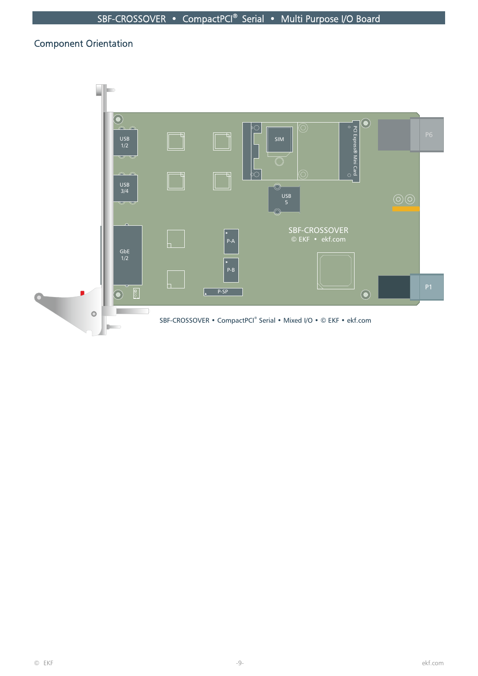# Component Orientation

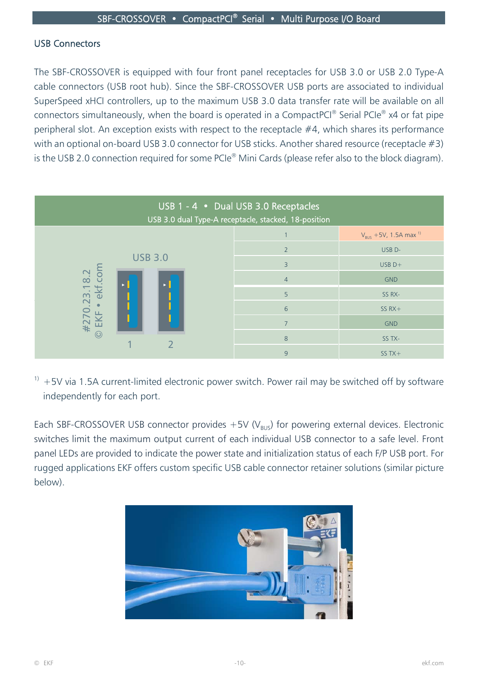## USB Connectors

The SBF-CROSSOVER is equipped with four front panel receptacles for USB 3.0 or USB 2.0 Type-A cable connectors (USB root hub). Since the SBF-CROSSOVER USB ports are associated to individual SuperSpeed xHCI controllers, up to the maximum USB 3.0 data transfer rate will be available on all connectors simultaneously, when the board is operated in a CompactPCI<sup>®</sup> Serial PCIe<sup>®</sup> x4 or fat pipe peripheral slot. An exception exists with respect to the receptacle #4, which shares its performance with an optional on-board USB 3.0 connector for USB sticks. Another shared resource (receptacle #3) is the USB 2.0 connection required for some PCIe® Mini Cards (please refer also to the block diagram).



 $1$ <sup>1)</sup> +5V via 1.5A current-limited electronic power switch. Power rail may be switched off by software independently for each port.

Each SBF-CROSSOVER USB connector provides  $+5V$  (V<sub>BUS</sub>) for powering external devices. Electronic switches limit the maximum output current of each individual USB connector to a safe level. Front panel LEDs are provided to indicate the power state and initialization status of each F/P USB port. For rugged applications EKF offers custom specific USB cable connector retainer solutions (similar picture below).

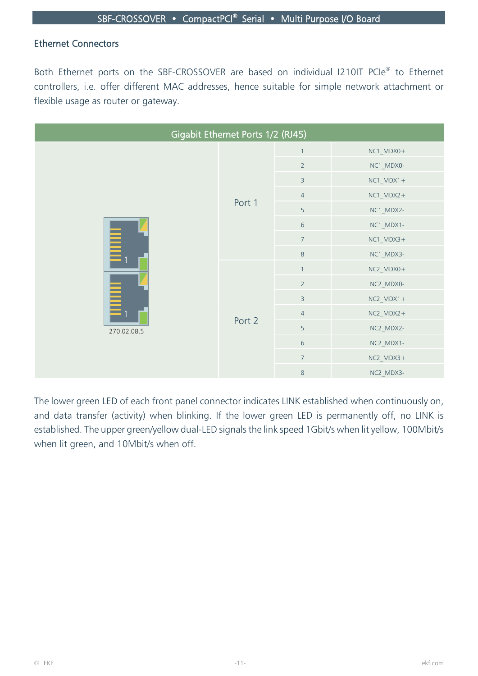## Ethernet Connectors

Both Ethernet ports on the SBF-CROSSOVER are based on individual I210IT PCIe® to Ethernet controllers, i.e. offer different MAC addresses, hence suitable for simple network attachment or flexible usage as router or gateway.

| Gigabit Ethernet Ports 1/2 (RJ45) |        |                |              |  |  |
|-----------------------------------|--------|----------------|--------------|--|--|
|                                   | Port 1 | $\mathbf{1}$   | NC1_MDX0+    |  |  |
|                                   |        | $\overline{2}$ | NC1_MDX0-    |  |  |
|                                   |        | $\overline{3}$ | $NC1_MDX1+$  |  |  |
|                                   |        | $\overline{4}$ | $NC1$ _MDX2+ |  |  |
| E<br>Ē<br>270.02.08.5             |        | 5              | NC1_MDX2-    |  |  |
|                                   |        | $\,$ 6 $\,$    | NC1_MDX1-    |  |  |
|                                   |        | $\overline{7}$ | $NC1$ _MDX3+ |  |  |
|                                   |        | $\,8\,$        | NC1_MDX3-    |  |  |
|                                   |        | $\mathbf{1}$   | NC2_MDX0+    |  |  |
|                                   |        | $\overline{2}$ | NC2_MDX0-    |  |  |
|                                   |        | $\overline{3}$ | $NC2_MDX1+$  |  |  |
|                                   |        | $\overline{4}$ | $NC2_MDX2+$  |  |  |
|                                   | Port 2 | 5              | NC2_MDX2-    |  |  |
|                                   |        | $\sqrt{6}$     | NC2_MDX1-    |  |  |
|                                   |        | $\overline{7}$ | $NC2$ _MDX3+ |  |  |
|                                   |        | $\,8\,$        | NC2_MDX3-    |  |  |

The lower green LED of each front panel connector indicates LINK established when continuously on, and data transfer (activity) when blinking. If the lower green LED is permanently off, no LINK is established. The upper green/yellow dual-LED signals the link speed 1Gbit/s when lit yellow, 100Mbit/s when lit green, and 10Mbit/s when off.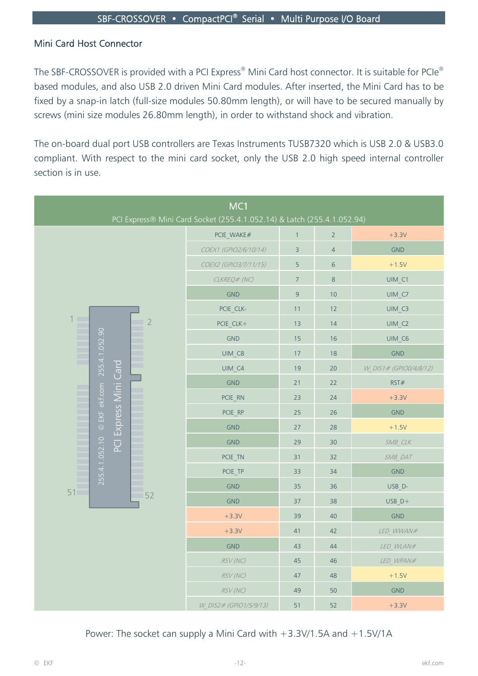## Mini Card Host Connector

The SBF-CROSSOVER is provided with a PCI Express<sup>®</sup> Mini Card host connector. It is suitable for PCIe<sup>®</sup> based modules, and also USB 2.0 driven Mini Card modules. After inserted, the Mini Card has to be fixed by a snap-in latch (full-size modules 50.80mm length), or will have to be secured manually by screws (mini size modules 26.80mm length), in order to withstand shock and vibration.

The on-board dual port USB controllers are Texas Instruments TUSB7320 which is USB 2.0 & USB3.0 compliant. With respect to the mini card socket, only the USB 2.0 high speed internal controller section is in use.

| MC1<br>PCI Express® Mini Card Socket (255.4.1.052.14) & Latch (255.4.1.052.94) |                        |              |                |                        |  |
|--------------------------------------------------------------------------------|------------------------|--------------|----------------|------------------------|--|
|                                                                                | PCIE WAKE#             | $\mathbf{1}$ | $\overline{2}$ | $+3.3V$                |  |
|                                                                                | COEX1 (GPIO2/6/10/14)  | 3            | $\overline{4}$ | <b>GND</b>             |  |
|                                                                                | COEX2 (GPIO3/7/11/15)  | 5            | $\sqrt{6}$     | $+1.5V$                |  |
|                                                                                | CLKREQ# (NC)           | $\sqrt{ }$   | $\,8\,$        | $UIM_C1$               |  |
|                                                                                | <b>GND</b>             | $\mathsf 9$  | 10             | UIM C7                 |  |
|                                                                                | PCIE CLK-              | 11           | 12             | UIM C3                 |  |
| $\begin{array}{c}\n1 \\ 1 \\ 1 \\ 1\n\end{array}$<br>$\overline{2}$            | PCIE CLK+              | 13<br>14     |                |                        |  |
|                                                                                | <b>GND</b>             | 15           | 16             | UIM C6                 |  |
| 255.4.1.052.90<br>Ξ                                                            | UIM C8                 | $17\,$       | 18             | <b>GND</b>             |  |
| ٠<br>Card                                                                      | UIM C4                 | 19           | 20             | W DIS1# (GPIO0/4/8/12) |  |
|                                                                                | <b>GND</b>             | 21           | 22             | RST#                   |  |
| ▄<br>٠                                                                         | PCIE_RN                | 23           | 24             | $+3.3V$                |  |
| Express Mini<br>EKF ekf.com                                                    | PCIE RP<br>25          |              | 26             | <b>GND</b>             |  |
| m<br>$\odot$<br>m                                                              | <b>GND</b>             | 27           | 28             | $+1.5V$                |  |
| $\overline{C}$<br>m.                                                           | <b>GND</b>             | 29           | 30             | SMB CLK                |  |
| E<br>m                                                                         | PCIE_TN                | 31           | 32             | SMB DAT                |  |
| 255.4.1.052.10<br>m.<br>٠                                                      | PCIE_TP                | 33           | 34             | <b>GND</b>             |  |
| Ξ<br>a a<br>51                                                                 | <b>GND</b>             | 35           | 36             | USB D-                 |  |
| Ξ<br>52                                                                        | <b>GND</b>             | 37           | 38             | $USB$ $D+$             |  |
|                                                                                | $+3.3V$                | 39           | 40             | <b>GND</b>             |  |
|                                                                                | $+3.3V$                | 41           | 42             | LED WWAN#              |  |
|                                                                                | <b>GND</b>             | 43           | 44             | LED WLAN#              |  |
|                                                                                | RSV (NC)               | 45           | 46             | LED_WPAN#              |  |
|                                                                                | RSV (NC)               | $47\,$       | 48             | $+1.5V$                |  |
|                                                                                | RSV (NC)               | 49           | 50             | <b>GND</b>             |  |
|                                                                                | W DIS2# (GPIO1/5/9/13) | 51           | 52             | $+3.3V$                |  |

Power: The socket can supply a Mini Card with  $+3.3V/1.5A$  and  $+1.5V/1A$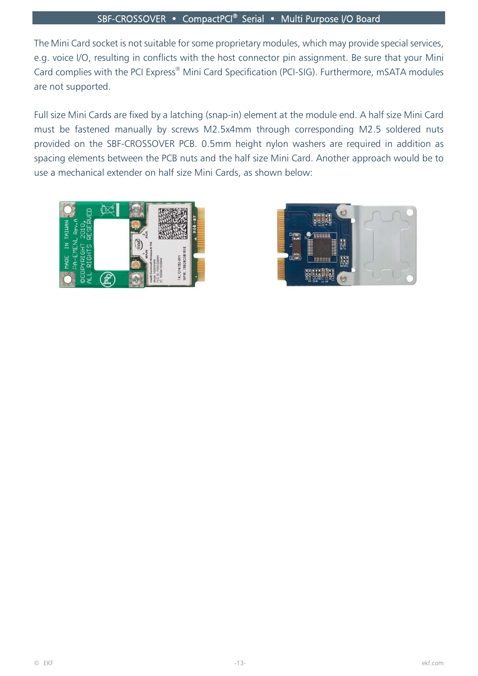## SBF-CROSSOVER • CompactPCI® Serial • Multi Purpose I/O Board

The Mini Card socket is not suitable for some proprietary modules, which may provide special services, e.g. voice I/O, resulting in conflicts with the host connector pin assignment. Be sure that your Mini Card complies with the PCI Express® Mini Card Specification (PCI-SIG). Furthermore, mSATA modules are not supported.

Full size Mini Cards are fixed by a latching (snap-in) element at the module end. A half size Mini Card must be fastened manually by screws M2.5x4mm through corresponding M2.5 soldered nuts provided on the SBF-CROSSOVER PCB. 0.5mm height nylon washers are required in addition as spacing elements between the PCB nuts and the half size Mini Card. Another approach would be to use a mechanical extender on half size Mini Cards, as shown below:



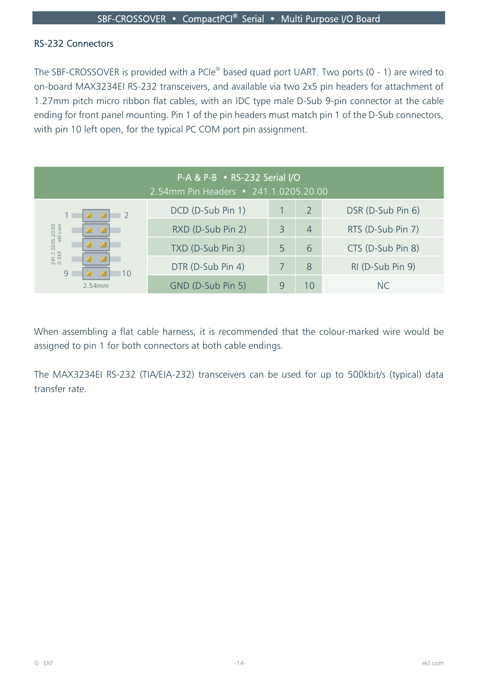## RS-232 Connectors

The SBF-CROSSOVER is provided with a PCIe® based quad port UART. Two ports (0 - 1) are wired to on-board MAX3234EI RS-232 transceivers, and available via two 2x5 pin headers for attachment of 1.27mm pitch micro ribbon flat cables, with an IDC type male D-Sub 9-pin connector at the cable ending for front panel mounting. Pin 1 of the pin headers must match pin 1 of the D-Sub connectors, with pin 10 left open, for the typical PC COM port pin assignment.

| P-A & P-B • RS-232 Serial I/O<br>2.54mm Pin Headers • 241.1.0205.20.00 |                   |   |                |                   |  |
|------------------------------------------------------------------------|-------------------|---|----------------|-------------------|--|
| $\overline{\phantom{a}}$                                               | DCD (D-Sub Pin 1) |   | 2              | DSR (D-Sub Pin 6) |  |
|                                                                        | RXD (D-Sub Pin 2) |   | $\overline{4}$ | RTS (D-Sub Pin 7) |  |
| 241.1.0205.20.00<br>© EKF ekf.com                                      | TXD (D-Sub Pin 3) | 5 | 6              | CTS (D-Sub Pin 8) |  |
| 9<br>110                                                               | DTR (D-Sub Pin 4) |   | 8              | RI (D-Sub Pin 9)  |  |
| 2.54mm                                                                 | GND (D-Sub Pin 5) |   | 10             | NC.               |  |

When assembling a flat cable harness, it is recommended that the colour-marked wire would be assigned to pin 1 for both connectors at both cable endings.

The MAX3234EI RS-232 (TIA/EIA-232) transceivers can be used for up to 500kbit/s (typical) data transfer rate.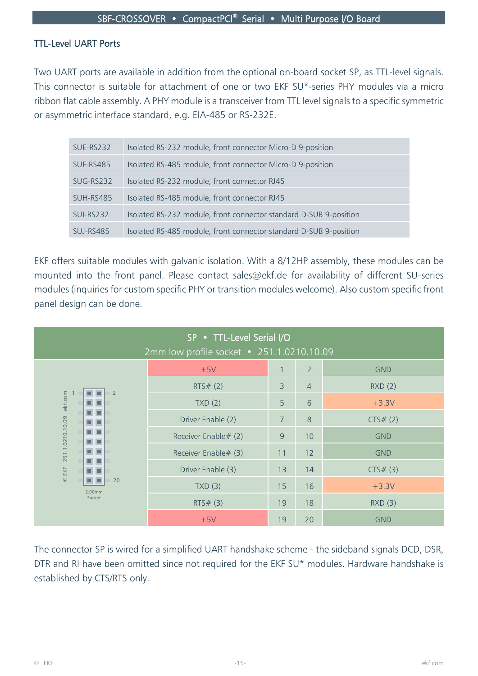# TTL-Level UART Ports

Two UART ports are available in addition from the optional on-board socket SP, as TTL-level signals. This connector is suitable for attachment of one or two EKF SU\*-series PHY modules via a micro ribbon flat cable assembly. A PHY module is a transceiver from TTL level signals to a specific symmetric or asymmetric interface standard, e.g. EIA-485 or RS-232E.

| SUE-RS232        | Isolated RS-232 module, front connector Micro-D 9-position        |
|------------------|-------------------------------------------------------------------|
| SUF-RS485        | Isolated RS-485 module, front connector Micro-D 9-position        |
| SUG-RS232        | Isolated RS-232 module, front connector RJ45                      |
| SUH-RS485        | Isolated RS-485 module, front connector RJ45                      |
| <b>SUI-RS232</b> | Isolated RS-232 module, front connector standard D-SUB 9-position |
| SUJ-RS485        | Isolated RS-485 module, front connector standard D-SUB 9-position |

EKF offers suitable modules with galvanic isolation. With a 8/12HP assembly, these modules can be mounted into the front panel. Please contact sales@ekf.de for availability of different SU-series modules (inquiries for custom specific PHY or transition modules welcome). Also custom specific front panel design can be done.

| SP • TTL-Level Serial I/O<br>2mm low profile socket • 251.1.0210.10.09 |                      |                |                |            |  |
|------------------------------------------------------------------------|----------------------|----------------|----------------|------------|--|
|                                                                        | $+5V$                | 1              | $\overline{2}$ | <b>GND</b> |  |
| $\overline{2}$                                                         | RTS# (2)             | 3              | $\overline{4}$ | RXD(2)     |  |
| ekf.com                                                                | TXD(2)               | 5              | 6              | $+3.3V$    |  |
| 251.1.0210.10.09                                                       | Driver Enable (2)    | $\overline{7}$ | 8              | CTS# (2)   |  |
|                                                                        | Receiver Enable# (2) | 9              | 10             | <b>GND</b> |  |
|                                                                        | Receiver Enable# (3) | 11             | 12             | <b>GND</b> |  |
| $@$ EKF                                                                | Driver Enable (3)    | 13             | 14             | CTS# (3)   |  |
| 20<br>2.00mm<br>Socket                                                 | TXD(3)               | 15             | 16             | $+3.3V$    |  |
|                                                                        | RTS# (3)             | 19             | 18             | RXD(3)     |  |
|                                                                        | $+5V$                | 19             | 20             | <b>GND</b> |  |

The connector SP is wired for a simplified UART handshake scheme - the sideband signals DCD, DSR, DTR and RI have been omitted since not required for the EKF SU\* modules. Hardware handshake is established by CTS/RTS only.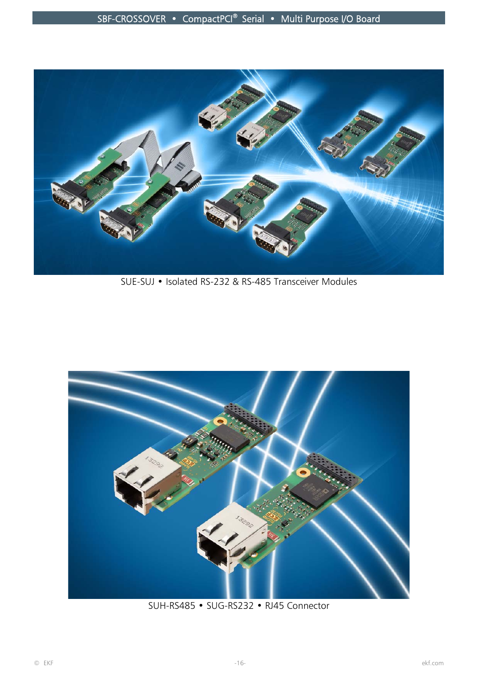

SUE-SUJ • Isolated RS-232 & RS-485 Transceiver Modules



SUH-RS485 • SUG-RS232 • RJ45 Connector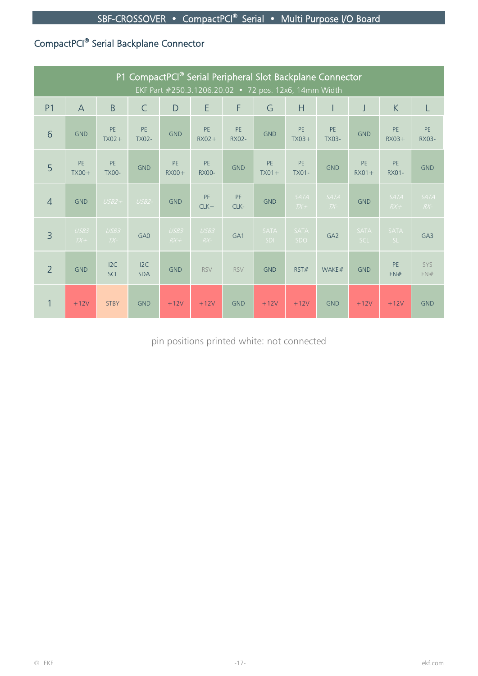# CompactPCI® Serial Backplane Connector

| P1 CompactPCI® Serial Peripheral Slot Backplane Connector<br>EKF Part #250.3.1206.20.02 • 72 pos. 12x6, 14mm Width |                |                           |                           |                      |                           |                           |                    |                      |                      |                       |                      |                      |
|--------------------------------------------------------------------------------------------------------------------|----------------|---------------------------|---------------------------|----------------------|---------------------------|---------------------------|--------------------|----------------------|----------------------|-----------------------|----------------------|----------------------|
| P <sub>1</sub>                                                                                                     | $\overline{A}$ | B                         | $\mathsf{C}$              | D                    | E                         | F                         | G                  | H                    |                      | J                     | K                    | L                    |
| 6                                                                                                                  | <b>GND</b>     | <b>PE</b><br>$TX02+$      | <b>PE</b><br><b>TX02-</b> | <b>GND</b>           | <b>PE</b><br>$RX02 +$     | <b>PE</b><br><b>RX02-</b> | <b>GND</b>         | PE<br>$TX03+$        | PE<br><b>TX03-</b>   | <b>GND</b>            | <b>PE</b><br>$RX03+$ | PE<br><b>RX03-</b>   |
| 5                                                                                                                  | PE<br>$TX00+$  | <b>PE</b><br><b>TX00-</b> | <b>GND</b>                | <b>PE</b><br>$RX00+$ | <b>PE</b><br><b>RX00-</b> | <b>GND</b>                | PE<br>$TX01+$      | PE<br><b>TX01-</b>   | <b>GND</b>           | <b>PE</b><br>$RX01 +$ | <b>PE</b><br>RX01-   | <b>GND</b>           |
| $\overline{4}$                                                                                                     | <b>GND</b>     | $USB2+$                   | $USB2-$                   | <b>GND</b>           | <b>PE</b><br>$CLK+$       | <b>PE</b><br>CLK-         | <b>GND</b>         | <b>SATA</b><br>$TX+$ | <b>SATA</b><br>$TX-$ | <b>GND</b>            | <b>SATA</b><br>$RX+$ | <b>SATA</b><br>$RX-$ |
| $\overline{3}$                                                                                                     | USB3<br>$TX+$  | USB3<br>$TX-$             | GA0                       | USB3<br>$R X +$      | USB3<br>$RX -$            | GA <sub>1</sub>           | <b>SATA</b><br>SDI | <b>SATA</b><br>SDO   | GA <sub>2</sub>      | <b>SATA</b><br>SCL    | <b>SATA</b><br>SL    | GA3                  |
| $\overline{2}$                                                                                                     | <b>GND</b>     | 12C<br><b>SCL</b>         | I2C<br><b>SDA</b>         | <b>GND</b>           | <b>RSV</b>                | <b>RSV</b>                | <b>GND</b>         | RST#                 | WAKE#                | <b>GND</b>            | PE<br>EN#            | SYS<br>EN#           |
| 1                                                                                                                  | $+12V$         | <b>STBY</b>               | <b>GND</b>                | $+12V$               | $+12V$                    | <b>GND</b>                | $+12V$             | $+12V$               | <b>GND</b>           | $+12V$                | $+12V$               | <b>GND</b>           |

pin positions printed white: not connected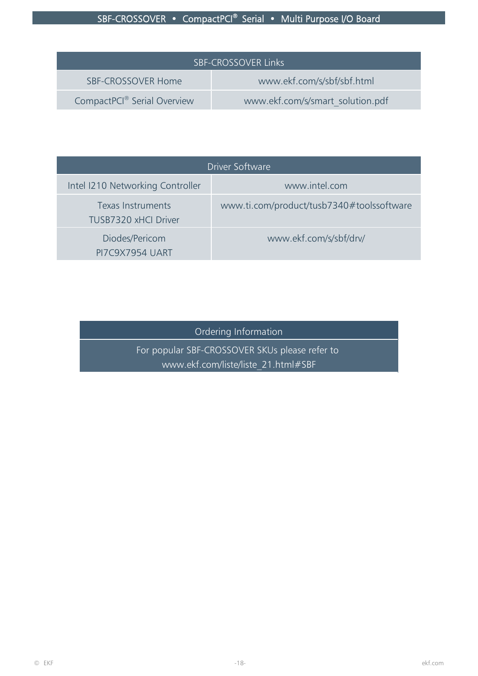# SBF-CROSSOVER • CompactPCI<sup>®</sup> Serial • Multi Purpose I/O Board

| <b>SBF-CROSSOVER Links</b>              |                                  |  |  |  |  |
|-----------------------------------------|----------------------------------|--|--|--|--|
| SBF-CROSSOVER Home                      | www.ekf.com/s/sbf/sbf.html       |  |  |  |  |
| CompactPCI <sup>®</sup> Serial Overview | www.ekf.com/s/smart solution.pdf |  |  |  |  |

| Driver Software                                  |                                           |  |  |  |  |
|--------------------------------------------------|-------------------------------------------|--|--|--|--|
| Intel I210 Networking Controller                 | www.intel.com                             |  |  |  |  |
| Texas Instruments<br><b>TUSB7320 xHCl Driver</b> | www.ti.com/product/tusb7340#toolssoftware |  |  |  |  |
| Diodes/Pericom<br><b>PI7C9X7954 UART</b>         | www.ekf.com/s/sbf/drv/                    |  |  |  |  |

Ordering Information

For popular SBF-CROSSOVER SKUs please refer to www.ekf.com/liste/liste\_21.html#SBF